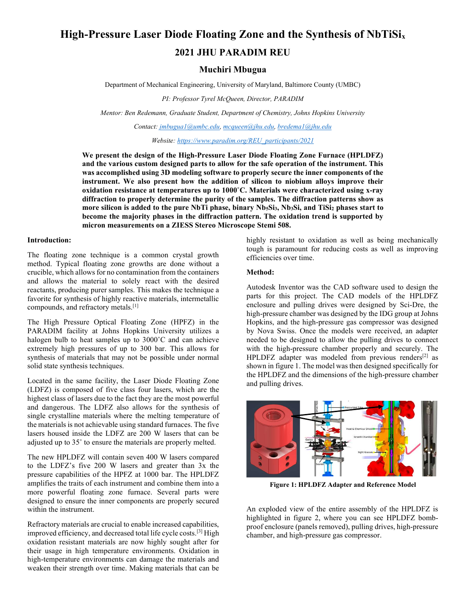# High-Pressure Laser Diode Floating Zone and the Synthesis of NbTiSi<sub>x</sub> 2021 JHU PARADIM REU

# Muchiri Mbugua

Department of Mechanical Engineering, University of Maryland, Baltimore County (UMBC)

PI: Professor Tyrel McQueen, Director, PARADIM

Mentor: Ben Redemann, Graduate Student, Department of Chemistry, Johns Hopkins University

Contact: jmbugua1@umbc.edu, mcqueen@jhu.edu, bredema1@jhu.edu

Website: https://www.paradim.org/REU\_participants/2021

We present the design of the High-Pressure Laser Diode Floating Zone Furnace (HPLDFZ) and the various custom designed parts to allow for the safe operation of the instrument. This was accomplished using 3D modeling software to properly secure the inner components of the instrument. We also present how the addition of silicon to niobium alloys improve their oxidation resistance at temperatures up to 1000˚C. Materials were characterized using x-ray diffraction to properly determine the purity of the samples. The diffraction patterns show as more silicon is added to the pure NbTi phase, binary Nb<sub>5</sub>Si<sub>3</sub>, Nb<sub>3</sub>Si, and TiSi<sub>2</sub> phases start to become the majority phases in the diffraction pattern. The oxidation trend is supported by micron measurements on a ZIESS Stereo Microscope Stemi 508.

#### Introduction:

The floating zone technique is a common crystal growth method. Typical floating zone growths are done without a crucible, which allows for no contamination from the containers and allows the material to solely react with the desired reactants, producing purer samples. This makes the technique a favorite for synthesis of highly reactive materials, intermetallic compounds, and refractory metals.[1]

The High Pressure Optical Floating Zone (HPFZ) in the PARADIM facility at Johns Hopkins University utilizes a halogen bulb to heat samples up to 3000˚C and can achieve extremely high pressures of up to 300 bar. This allows for synthesis of materials that may not be possible under normal solid state synthesis techniques.

Located in the same facility, the Laser Diode Floating Zone (LDFZ) is composed of five class four lasers, which are the highest class of lasers due to the fact they are the most powerful and dangerous. The LDFZ also allows for the synthesis of single crystalline materials where the melting temperature of the materials is not achievable using standard furnaces. The five lasers housed inside the LDFZ are 200 W lasers that can be adjusted up to 35˚ to ensure the materials are properly melted.

The new HPLDFZ will contain seven 400 W lasers compared to the LDFZ's five 200 W lasers and greater than 3x the pressure capabilities of the HPFZ at 1000 bar. The HPLDFZ amplifies the traits of each instrument and combine them into a more powerful floating zone furnace. Several parts were designed to ensure the inner components are properly secured within the instrument.

Refractory materials are crucial to enable increased capabilities, improved efficiency, and decreased total life cycle costs.[3] High oxidation resistant materials are now highly sought after for their usage in high temperature environments. Oxidation in high-temperature environments can damage the materials and weaken their strength over time. Making materials that can be

highly resistant to oxidation as well as being mechanically tough is paramount for reducing costs as well as improving efficiencies over time.

## Method:

Autodesk Inventor was the CAD software used to design the parts for this project. The CAD models of the HPLDFZ enclosure and pulling drives were designed by Sci-Dre, the high-pressure chamber was designed by the IDG group at Johns Hopkins, and the high-pressure gas compressor was designed by Nova Swiss. Once the models were received, an adapter needed to be designed to allow the pulling drives to connect with the high-pressure chamber properly and securely. The HPLDFZ adapter was modeled from previous renders<sup>[2]</sup> as shown in figure 1. The model was then designed specifically for the HPLDFZ and the dimensions of the high-pressure chamber and pulling drives.



Figure 1: HPLDFZ Adapter and Reference Model

An exploded view of the entire assembly of the HPLDFZ is highlighted in figure 2, where you can see HPLDFZ bombproof enclosure (panels removed), pulling drives, high-pressure chamber, and high-pressure gas compressor.